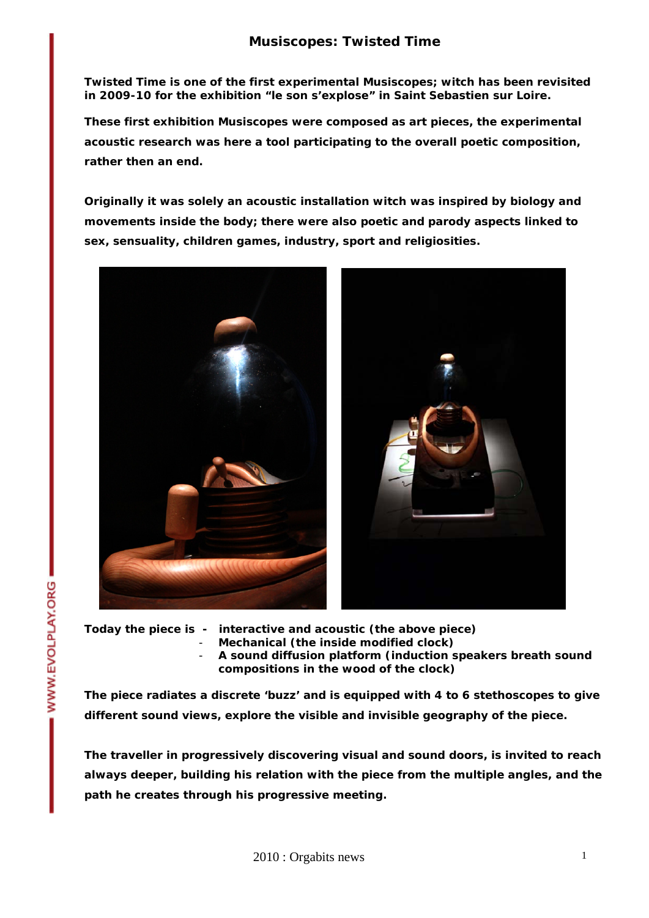**Twisted Time is one of the first experimental Musiscopes; witch has been revisited in 2009-10 for the exhibition "le son s'explose" in Saint Sebastien sur Loire.** 

**These first exhibition Musiscopes were composed as art pieces, the experimental acoustic research was here a tool participating to the overall poetic composition, rather then an end.** 

**Originally it was solely an acoustic installation witch was inspired by biology and movements inside the body; there were also poetic and parody aspects linked to sex, sensuality, children games, industry, sport and religiosities.** 



- **Today the piece is interactive and acoustic (***the above piece***)** 
	- **Mechanical (***the inside modified clock***)**
	- **A sound diffusion platform (***induction speakers breath sound compositions in the wood of the clock***)**

**The piece radiates a discrete 'buzz' and is equipped with 4 to 6 stethoscopes to give different sound views, explore the visible and invisible geography of the piece.** 

**The traveller in progressively discovering visual and sound doors, is invited to reach always deeper, building his relation with the piece from the multiple angles, and the path he creates through his progressive meeting.** 

WWW.EVOLPLAY.ORG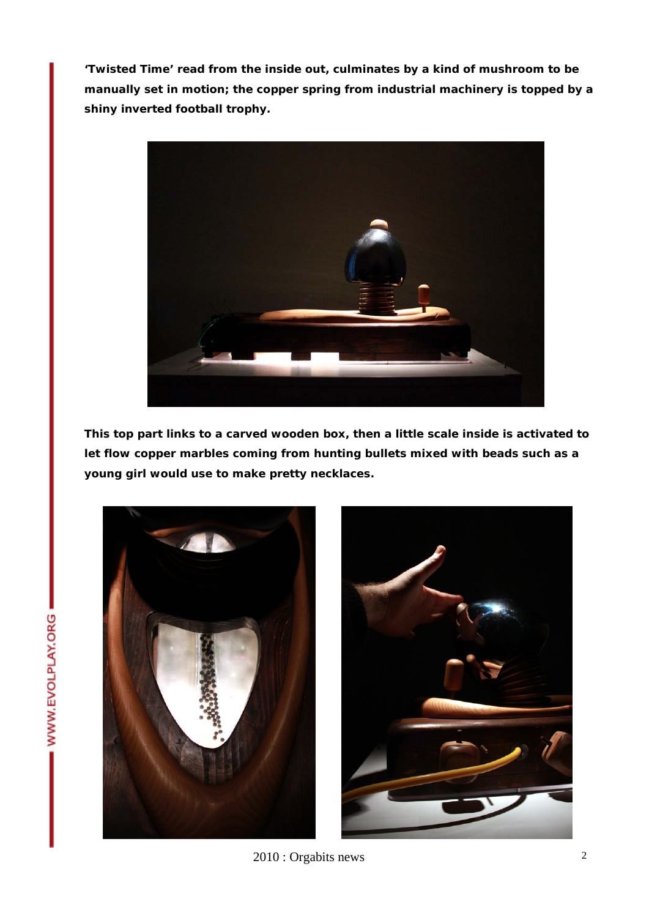**'Twisted Time' read from the inside out, culminates by a kind of mushroom to be manually set in motion; the copper spring from industrial machinery is topped by a shiny inverted football trophy.** 



**This top part links to a carved wooden box, then a little scale inside is activated to let flow copper marbles coming from hunting bullets mixed with beads such as a young girl would use to make pretty necklaces.** 



2010 : Orgabits news 2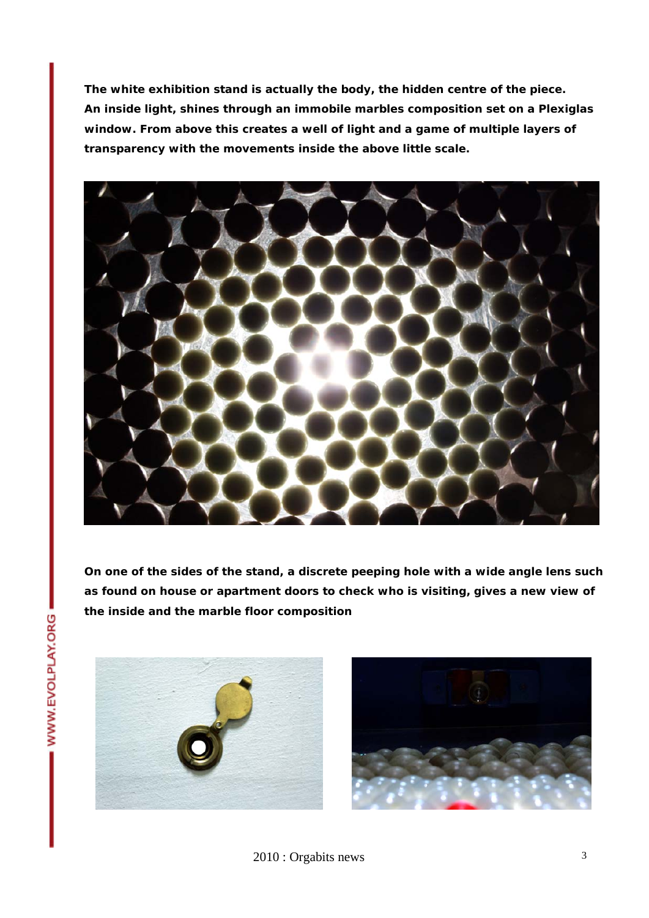**The white exhibition stand is actually the body, the hidden centre of the piece. An inside light, shines through an immobile marbles composition set on a Plexiglas window. From above this creates a well of light and a game of multiple layers of transparency with the movements inside the above little scale.** 



**On one of the sides of the stand, a discrete peeping hole with a wide angle lens such as found on house or apartment doors to check who is visiting, gives a new view of the inside and the marble floor composition** 



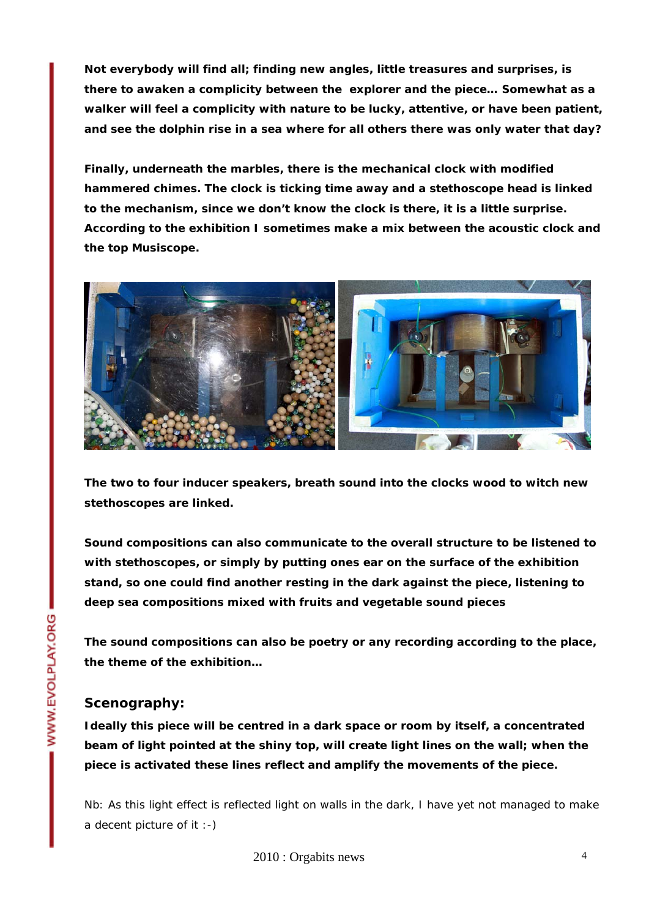**Not everybody will find all; finding new angles, little treasures and surprises, is there to awaken a complicity between the explorer and the piece… Somewhat as a walker will feel a complicity with nature to be lucky, attentive, or have been patient, and see the dolphin rise in a sea where for all others there was only water that day?** 

**Finally, underneath the marbles, there is the mechanical clock with modified hammered chimes. The clock is ticking time away and a stethoscope head is linked to the mechanism, since we don't know the clock is there, it is a little surprise. According to the exhibition I sometimes make a mix between the acoustic clock and the top Musiscope.** 



**The two to four inducer speakers, breath sound into the clocks wood to witch new stethoscopes are linked.** 

**Sound compositions can also communicate to the overall structure to be listened to with stethoscopes, or simply by putting ones ear on the surface of the exhibition stand, so one could find another resting in the dark against the piece, listening to deep sea compositions mixed with fruits and vegetable sound pieces** 

**The sound compositions can also be poetry or any recording according to the place, the theme of the exhibition…** 

## **Scenography:**

**Ideally this piece will be centred in a dark space or room by itself, a concentrated beam of light pointed at the shiny top, will create light lines on the wall; when the piece is activated these lines reflect and amplify the movements of the piece.** 

Nb: As this light effect is reflected light on walls in the dark, I have yet not managed to make a decent picture of it :-)